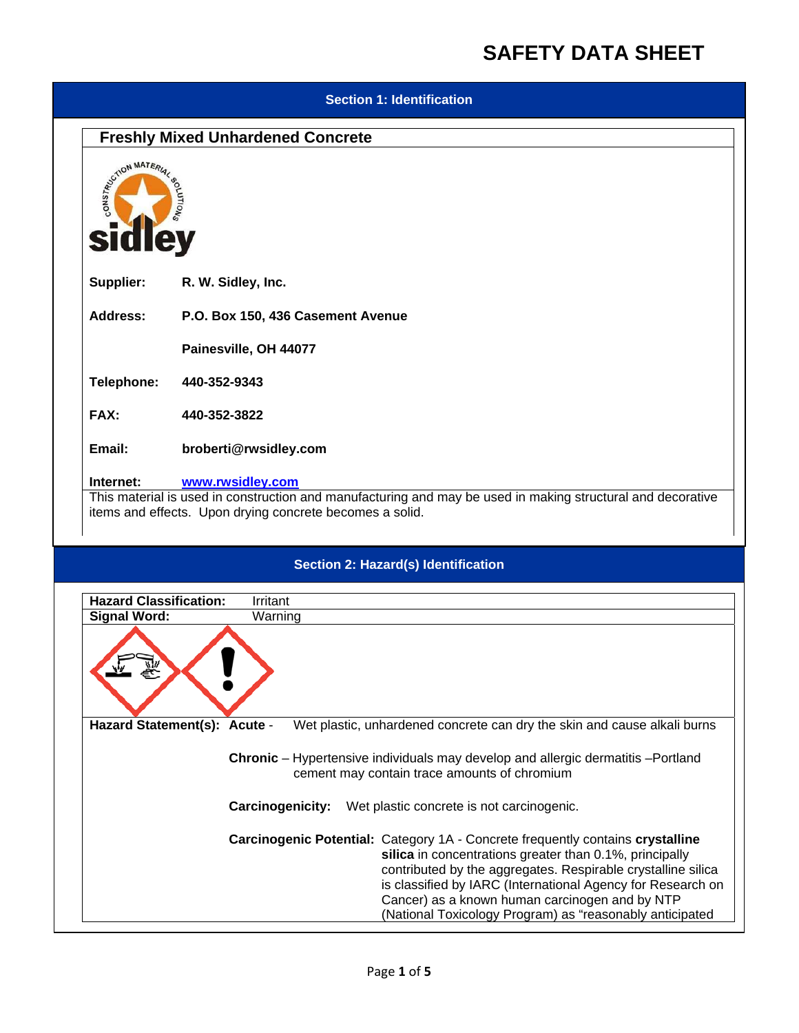#### **Section 1: Identification**

## **Freshly Mixed Unhardened Concrete**



**Supplier: R. W. Sidley, Inc.** 

**Address: P.O. Box 150, 436 Casement Avenue** 

 **Painesville, OH 44077** 

**Telephone: 440-352-9343** 

**FAX: 440-352-3822** 

**Email: broberti@rwsidley.com** 

#### **Internet: www.rwsidley.com**

This material is used in construction and manufacturing and may be used in making structural and decorative items and effects. Upon drying concrete becomes a solid.

### **Section 2: Hazard(s) Identification**

| <b>Hazard Classification:</b> | Irritant                                                                                                                                                                                                                                                                                                                                                                                      |  |  |
|-------------------------------|-----------------------------------------------------------------------------------------------------------------------------------------------------------------------------------------------------------------------------------------------------------------------------------------------------------------------------------------------------------------------------------------------|--|--|
| <b>Signal Word:</b>           | Warning                                                                                                                                                                                                                                                                                                                                                                                       |  |  |
|                               |                                                                                                                                                                                                                                                                                                                                                                                               |  |  |
| Hazard Statement(s): Acute -  | Wet plastic, unhardened concrete can dry the skin and cause alkali burns                                                                                                                                                                                                                                                                                                                      |  |  |
|                               | <b>Chronic</b> – Hypertensive individuals may develop and allergic dermatitis – Portland<br>cement may contain trace amounts of chromium                                                                                                                                                                                                                                                      |  |  |
|                               | <b>Carcinogenicity:</b> Wet plastic concrete is not carcinogenic.                                                                                                                                                                                                                                                                                                                             |  |  |
|                               | <b>Carcinogenic Potential: Category 1A - Concrete frequently contains crystalline</b><br>silica in concentrations greater than 0.1%, principally<br>contributed by the aggregates. Respirable crystalline silica<br>is classified by IARC (International Agency for Research on<br>Cancer) as a known human carcinogen and by NTP<br>(National Toxicology Program) as "reasonably anticipated |  |  |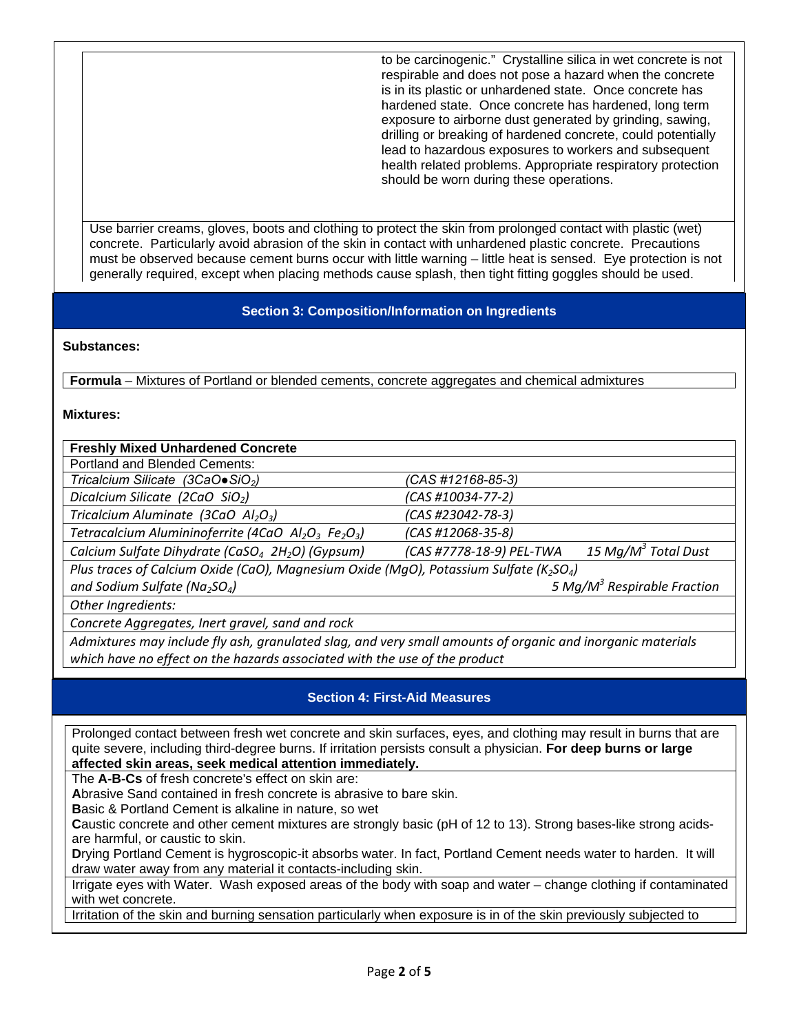to be carcinogenic." Crystalline silica in wet concrete is not respirable and does not pose a hazard when the concrete is in its plastic or unhardened state. Once concrete has hardened state. Once concrete has hardened, long term exposure to airborne dust generated by grinding, sawing, drilling or breaking of hardened concrete, could potentially lead to hazardous exposures to workers and subsequent health related problems. Appropriate respiratory protection should be worn during these operations.

Use barrier creams, gloves, boots and clothing to protect the skin from prolonged contact with plastic (wet) concrete. Particularly avoid abrasion of the skin in contact with unhardened plastic concrete. Precautions must be observed because cement burns occur with little warning – little heat is sensed. Eye protection is not generally required, except when placing methods cause splash, then tight fitting goggles should be used.

### **Section 3: Composition/Information on Ingredients**

#### **Substances:**

**Formula** – Mixtures of Portland or blended cements, concrete aggregates and chemical admixtures

#### **Mixtures:**

| <b>Freshly Mixed Unhardened Concrete</b>                                                                       |                                                             |  |  |
|----------------------------------------------------------------------------------------------------------------|-------------------------------------------------------------|--|--|
| Portland and Blended Cements:                                                                                  |                                                             |  |  |
| Tricalcium Silicate (3CaO $\bullet$ SiO <sub>2</sub> )                                                         | (CAS #12168-85-3)                                           |  |  |
| Dicalcium Silicate (2CaO SiO <sub>2</sub> )                                                                    | (CAS #10034-77-2)                                           |  |  |
| Tricalcium Aluminate (3CaO Al <sub>2</sub> O <sub>3</sub> )                                                    | $(CAS H23042-78-3)$                                         |  |  |
| Tetracalcium Alumininoferrite (4CaO Al <sub>2</sub> O <sub>3</sub> Fe <sub>2</sub> O <sub>3</sub> )            | $(CAS #12068-35-8)$                                         |  |  |
| Calcium Sulfate Dihydrate (CaSO <sub>4</sub> 2H <sub>2</sub> O) (Gypsum)                                       | 15 Mg/M <sup>3</sup> Total Dust<br>(CAS #7778-18-9) PEL-TWA |  |  |
| Plus traces of Calcium Oxide (CaO), Magnesium Oxide (MqO), Potassium Sulfate (K <sub>2</sub> SO <sub>4</sub> ) |                                                             |  |  |
| and Sodium Sulfate (Na <sub>2</sub> SO <sub>4</sub> )                                                          | 5 Mg/M <sup>3</sup> Respirable Fraction                     |  |  |
| Other Ingredients:                                                                                             |                                                             |  |  |
| Concrete Aggregates, Inert gravel, sand and rock                                                               |                                                             |  |  |

*Admixtures may include fly ash, granulated slag, and very small amounts of organic and inorganic materials which have no effect on the hazards associated with the use of the product*

### **Section 4: First-Aid Measures**

Prolonged contact between fresh wet concrete and skin surfaces, eyes, and clothing may result in burns that are quite severe, including third-degree burns. If irritation persists consult a physician. **For deep burns or large affected skin areas, seek medical attention immediately.**

The **A-B-Cs** of fresh concrete's effect on skin are:

**A**brasive Sand contained in fresh concrete is abrasive to bare skin.

**B**asic & Portland Cement is alkaline in nature, so wet

**C**austic concrete and other cement mixtures are strongly basic (pH of 12 to 13). Strong bases-like strong acidsare harmful, or caustic to skin.

**D**rying Portland Cement is hygroscopic-it absorbs water. In fact, Portland Cement needs water to harden. It will draw water away from any material it contacts-including skin.

Irrigate eyes with Water. Wash exposed areas of the body with soap and water – change clothing if contaminated with wet concrete.

Irritation of the skin and burning sensation particularly when exposure is in of the skin previously subjected to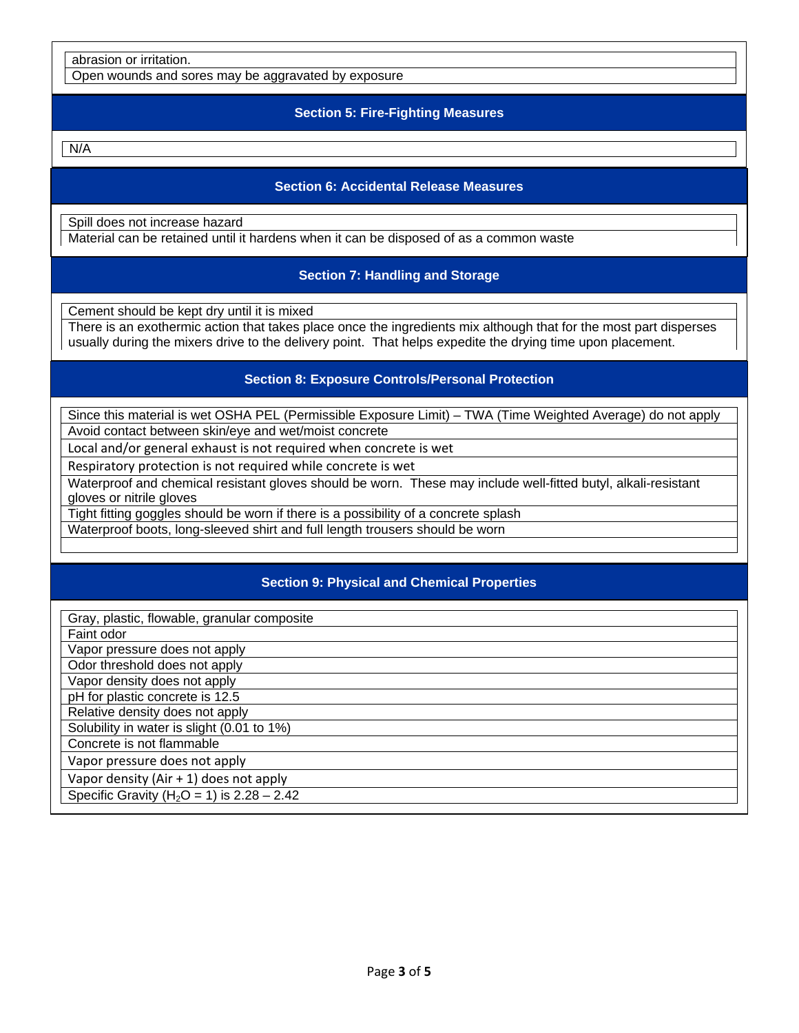abrasion or irritation.

Open wounds and sores may be aggravated by exposure

#### **Section 5: Fire-Fighting Measures**

N/A

#### **Section 6: Accidental Release Measures**

Spill does not increase hazard Material can be retained until it hardens when it can be disposed of as a common waste

### **Section 7: Handling and Storage**

Cement should be kept dry until it is mixed

There is an exothermic action that takes place once the ingredients mix although that for the most part disperses usually during the mixers drive to the delivery point. That helps expedite the drying time upon placement.

### **Section 8: Exposure Controls/Personal Protection**

Since this material is wet OSHA PEL (Permissible Exposure Limit) – TWA (Time Weighted Average) do not apply Avoid contact between skin/eye and wet/moist concrete

Local and/or general exhaust is not required when concrete is wet

Respiratory protection is not required while concrete is wet

Waterproof and chemical resistant gloves should be worn. These may include well-fitted butyl, alkali-resistant gloves or nitrile gloves

Tight fitting goggles should be worn if there is a possibility of a concrete splash

Waterproof boots, long-sleeved shirt and full length trousers should be worn

## **Section 9: Physical and Chemical Properties**

Gray, plastic, flowable, granular composite Faint odor Vapor pressure does not apply Odor threshold does not apply Vapor density does not apply pH for plastic concrete is 12.5 Relative density does not apply Solubility in water is slight (0.01 to 1%) Concrete is not flammable Vapor pressure does not apply Vapor density (Air + 1) does not apply Specific Gravity ( $H_2O = 1$ ) is  $2.28 - 2.42$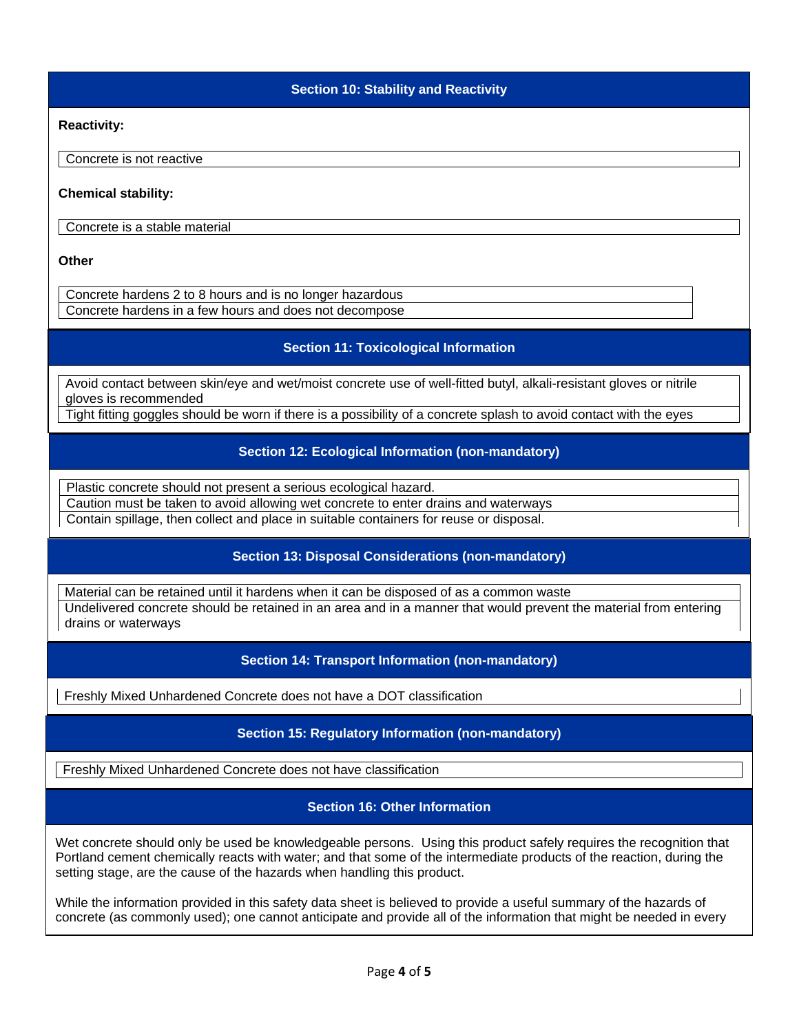**Section 10: Stability and Reactivity** 

**Reactivity:** 

Concrete is not reactive

**Chemical stability:** 

Concrete is a stable material

**Other** 

Concrete hardens 2 to 8 hours and is no longer hazardous Concrete hardens in a few hours and does not decompose

### **Section 11: Toxicological Information**

Avoid contact between skin/eye and wet/moist concrete use of well-fitted butyl, alkali-resistant gloves or nitrile gloves is recommended

Tight fitting goggles should be worn if there is a possibility of a concrete splash to avoid contact with the eyes

### **Section 12: Ecological Information (non-mandatory)**

Plastic concrete should not present a serious ecological hazard.

Caution must be taken to avoid allowing wet concrete to enter drains and waterways

Contain spillage, then collect and place in suitable containers for reuse or disposal.

## **Section 13: Disposal Considerations (non-mandatory)**

Material can be retained until it hardens when it can be disposed of as a common waste Undelivered concrete should be retained in an area and in a manner that would prevent the material from entering drains or waterways

### **Section 14: Transport Information (non-mandatory)**

Freshly Mixed Unhardened Concrete does not have a DOT classification

### **Section 15: Regulatory Information (non-mandatory)**

Freshly Mixed Unhardened Concrete does not have classification

# **Section 16: Other Information**

Wet concrete should only be used be knowledgeable persons. Using this product safely requires the recognition that Portland cement chemically reacts with water; and that some of the intermediate products of the reaction, during the setting stage, are the cause of the hazards when handling this product.

While the information provided in this safety data sheet is believed to provide a useful summary of the hazards of concrete (as commonly used); one cannot anticipate and provide all of the information that might be needed in every